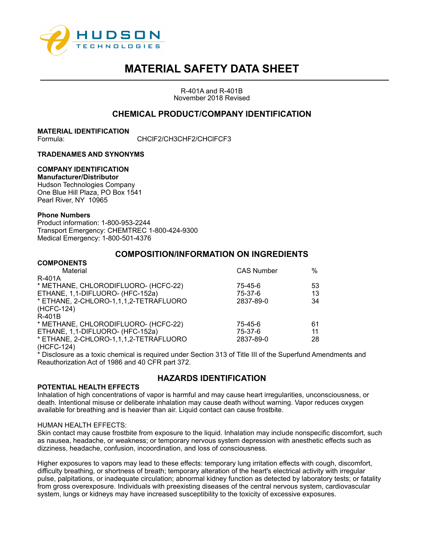

R-401A and R-401B November 2018 Revised

# **CHEMICAL PRODUCT/COMPANY IDENTIFICATION**

**MATERIAL IDENTIFICATION** Formula: CHClF2/CH3CHF2/CHClFCF3

## **TRADENAMES AND SYNONYMS**

## **COMPANY IDENTIFICATION**

# **Manufacturer/Distributor**

Hudson Technologies Company One Blue Hill Plaza, PO Box 1541 Pearl River, NY 10965

#### **Phone Numbers**

**COMPONENTS**

Product information: 1-800-953-2244 Transport Emergency: CHEMTREC 1-800-424-9300 Medical Emergency: 1-800-501-4376

# **COMPOSITION/INFORMATION ON INGREDIENTS**

| <b>UUINFUNEN IJ</b>                    |                   |    |
|----------------------------------------|-------------------|----|
| Material                               | <b>CAS Number</b> | %  |
| R-401A                                 |                   |    |
| * METHANE, CHLORODIFLUORO- (HCFC-22)   | 75-45-6           | 53 |
| ETHANE, 1,1-DIFLUORO- (HFC-152a)       | 75-37-6           | 13 |
| * ETHANE, 2-CHLORO-1,1,1,2-TETRAFLUORO | 2837-89-0         | 34 |
| (HCFC-124)                             |                   |    |
| R-401B                                 |                   |    |
| * METHANE, CHLORODIFLUORO- (HCFC-22)   | 75-45-6           | 61 |
| ETHANE, 1,1-DIFLUORO- (HFC-152a)       | 75-37-6           | 11 |
| * ETHANE, 2-CHLORO-1,1,1,2-TETRAFLUORO | 2837-89-0         | 28 |
| (HCFC-124)                             |                   |    |
|                                        |                   |    |

\* Disclosure as a toxic chemical is required under Section 313 of Title III of the Superfund Amendments and Reauthorization Act of 1986 and 40 CFR part 372.

# **HAZARDS IDENTIFICATION**

### **POTENTIAL HEALTH EFFECTS**

Inhalation of high concentrations of vapor is harmful and may cause heart irregularities, unconsciousness, or death. Intentional misuse or deliberate inhalation may cause death without warning. Vapor reduces oxygen available for breathing and is heavier than air. Liquid contact can cause frostbite.

#### HUMAN HEALTH EFFECTS:

Skin contact may cause frostbite from exposure to the liquid. Inhalation may include nonspecific discomfort, such as nausea, headache, or weakness; or temporary nervous system depression with anesthetic effects such as dizziness, headache, confusion, incoordination, and loss of consciousness.

Higher exposures to vapors may lead to these effects: temporary lung irritation effects with cough, discomfort, difficulty breathing, or shortness of breath; temporary alteration of the heart's electrical activity with irregular pulse, palpitations, or inadequate circulation; abnormal kidney function as detected by laboratory tests; or fatality from gross overexposure. Individuals with preexisting diseases of the central nervous system, cardiovascular system, lungs or kidneys may have increased susceptibility to the toxicity of excessive exposures.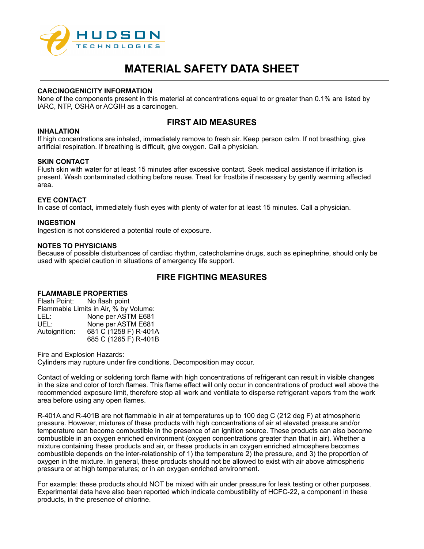

#### **CARCINOGENICITY INFORMATION**

None of the components present in this material at concentrations equal to or greater than 0.1% are listed by IARC, NTP, OSHA or ACGIH as a carcinogen.

# **FIRST AID MEASURES**

#### **INHALATION**

If high concentrations are inhaled, immediately remove to fresh air. Keep person calm. If not breathing, give artificial respiration. If breathing is difficult, give oxygen. Call a physician.

#### **SKIN CONTACT**

Flush skin with water for at least 15 minutes after excessive contact. Seek medical assistance if irritation is present. Wash contaminated clothing before reuse. Treat for frostbite if necessary by gently warming affected area.

#### **EYE CONTACT**

In case of contact, immediately flush eyes with plenty of water for at least 15 minutes. Call a physician.

#### **INGESTION**

Ingestion is not considered a potential route of exposure.

#### **NOTES TO PHYSICIANS**

Because of possible disturbances of cardiac rhythm, catecholamine drugs, such as epinephrine, should only be used with special caution in situations of emergency life support.

# **FIRE FIGHTING MEASURES**

# **FLAMMABLE PROPERTIES**

| Flash Point:                          | No flash point        |  |  |  |
|---------------------------------------|-----------------------|--|--|--|
| Flammable Limits in Air, % by Volume: |                       |  |  |  |
| LEL:                                  | None per ASTM E681    |  |  |  |
| UEL:                                  | None per ASTM E681    |  |  |  |
| Autoignition:                         | 681 C (1258 F) R-401A |  |  |  |
|                                       | 685 C (1265 F) R-401B |  |  |  |

Fire and Explosion Hazards: Cylinders may rupture under fire conditions. Decomposition may occur.

Contact of welding or soldering torch flame with high concentrations of refrigerant can result in visible changes in the size and color of torch flames. This flame effect will only occur in concentrations of product well above the recommended exposure limit, therefore stop all work and ventilate to disperse refrigerant vapors from the work area before using any open flames.

R-401A and R-401B are not flammable in air at temperatures up to 100 deg C (212 deg F) at atmospheric pressure. However, mixtures of these products with high concentrations of air at elevated pressure and/or temperature can become combustible in the presence of an ignition source. These products can also become combustible in an oxygen enriched environment (oxygen concentrations greater than that in air). Whether a mixture containing these products and air, or these products in an oxygen enriched atmosphere becomes combustible depends on the inter-relationship of 1) the temperature 2) the pressure, and 3) the proportion of oxygen in the mixture. In general, these products should not be allowed to exist with air above atmospheric pressure or at high temperatures; or in an oxygen enriched environment.

For example: these products should NOT be mixed with air under pressure for leak testing or other purposes. Experimental data have also been reported which indicate combustibility of HCFC-22, a component in these products, in the presence of chlorine.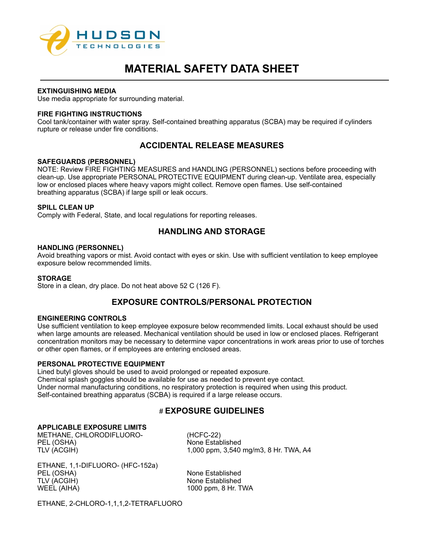

#### **EXTINGUISHING MEDIA**

Use media appropriate for surrounding material.

#### **FIRE FIGHTING INSTRUCTIONS**

Cool tank/container with water spray. Self-contained breathing apparatus (SCBA) may be required if cylinders rupture or release under fire conditions.

# **ACCIDENTAL RELEASE MEASURES**

#### **SAFEGUARDS (PERSONNEL)**

NOTE: Review FIRE FIGHTING MEASURES and HANDLING (PERSONNEL) sections before proceeding with clean-up. Use appropriate PERSONAL PROTECTIVE EQUIPMENT during clean-up. Ventilate area, especially low or enclosed places where heavy vapors might collect. Remove open flames. Use self-contained breathing apparatus (SCBA) if large spill or leak occurs.

#### **SPILL CLEAN UP**

Comply with Federal, State, and local regulations for reporting releases.

# **HANDLING AND STORAGE**

#### **HANDLING (PERSONNEL)**

Avoid breathing vapors or mist. Avoid contact with eyes or skin. Use with sufficient ventilation to keep employee exposure below recommended limits.

#### **STORAGE**

Store in a clean, dry place. Do not heat above 52 C (126 F).

# **EXPOSURE CONTROLS/PERSONAL PROTECTION**

#### **ENGINEERING CONTROLS**

Use sufficient ventilation to keep employee exposure below recommended limits. Local exhaust should be used when large amounts are released. Mechanical ventilation should be used in low or enclosed places. Refrigerant concentration monitors may be necessary to determine vapor concentrations in work areas prior to use of torches or other open flames, or if employees are entering enclosed areas.

#### **PERSONAL PROTECTIVE EQUIPMENT**

Lined butyl gloves should be used to avoid prolonged or repeated exposure. Chemical splash goggles should be available for use as needed to prevent eye contact. Under normal manufacturing conditions, no respiratory protection is required when using this product. Self-contained breathing apparatus (SCBA) is required if a large release occurs.

# # **EXPOSURE GUIDELINES**

## **APPLICABLE EXPOSURE LIMITS**

METHANE, CHLORODIFLUORO- (HCFC-22) PEL (OSHA) None Established

TLV (ACGIH) 1,000 ppm, 3,540 mg/m3, 8 Hr. TWA, A4

ETHANE, 1,1-DIFLUORO- (HFC-152a) PEL (OSHA) None Established TLV (ACGIH) None Established WEEL (AIHA) 1000 ppm, 8 Hr. TWA

ETHANE, 2-CHLORO-1,1,1,2-TETRAFLUORO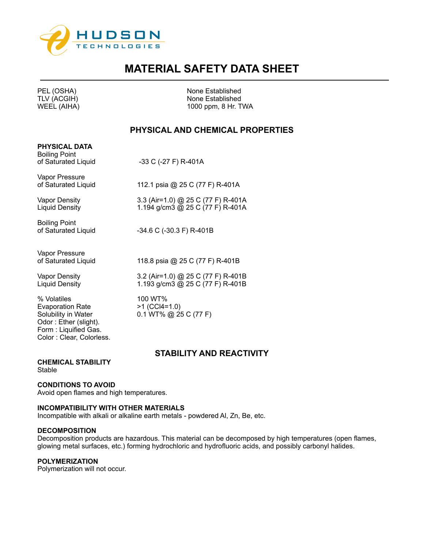

| <b>FEL (USIIA)</b><br>TLV (ACGIH)<br><b>WEEL (AIHA)</b>                                                                                    | <b>INUTE ESTADIISTICU</b><br>None Established<br>1000 ppm, 8 Hr. TWA   |
|--------------------------------------------------------------------------------------------------------------------------------------------|------------------------------------------------------------------------|
|                                                                                                                                            | PHYSICAL AND CHEMICAL PROPERTIES                                       |
| <b>PHYSICAL DATA</b><br><b>Boiling Point</b><br>of Saturated Liquid                                                                        | -33 C (-27 F) R-401A                                                   |
| Vapor Pressure<br>of Saturated Liquid                                                                                                      | 112.1 psia @ 25 C (77 F) R-401A                                        |
| Vapor Density<br>Liquid Density                                                                                                            | 3.3 (Air=1.0) @ 25 C (77 F) R-401A<br>1.194 g/cm3 @ 25 C (77 F) R-401A |
| <b>Boiling Point</b><br>of Saturated Liquid                                                                                                | -34.6 C (-30.3 F) R-401B                                               |
| Vapor Pressure<br>of Saturated Liquid                                                                                                      | 118.8 psia @ 25 C (77 F) R-401B                                        |
| <b>Vapor Density</b><br>Liquid Density                                                                                                     | 3.2 (Air=1.0) @ 25 C (77 F) R-401B<br>1.193 g/cm3 @ 25 C (77 F) R-401B |
| % Volatiles<br><b>Evaporation Rate</b><br>Solubility in Water<br>Odor: Ether (slight).<br>Form: Liquified Gas.<br>Color: Clear, Colorless. | 100 WT%<br>$>1$ (CCI4=1.0)<br>$0.1$ WT% @ 25 C (77 F)                  |
|                                                                                                                                            | STABILITY AND REACTIVITY                                               |

**CHEMICAL STABILITY Stable** 

### **CONDITIONS TO AVOID**

Avoid open flames and high temperatures.

# **INCOMPATIBILITY WITH OTHER MATERIALS**

Incompatible with alkali or alkaline earth metals - powdered Al, Zn, Be, etc.

#### **DECOMPOSITION**

Decomposition products are hazardous. This material can be decomposed by high temperatures (open flames, glowing metal surfaces, etc.) forming hydrochloric and hydrofluoric acids, and possibly carbonyl halides.

### **POLYMERIZATION**

Polymerization will not occur.

PEL (OSHA) None Established

# **PHYSICAL AND CHEMICAL PROPERTIES**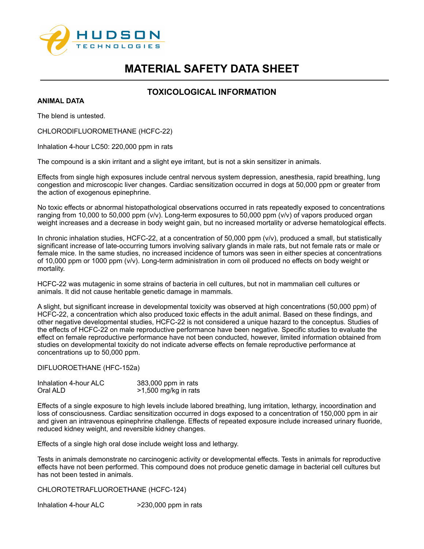

# **TOXICOLOGICAL INFORMATION**

**ANIMAL DATA**

The blend is untested.

CHLORODIFLUOROMETHANE (HCFC-22)

Inhalation 4-hour LC50: 220,000 ppm in rats

The compound is a skin irritant and a slight eye irritant, but is not a skin sensitizer in animals.

Effects from single high exposures include central nervous system depression, anesthesia, rapid breathing, lung congestion and microscopic liver changes. Cardiac sensitization occurred in dogs at 50,000 ppm or greater from the action of exogenous epinephrine.

No toxic effects or abnormal histopathological observations occurred in rats repeatedly exposed to concentrations ranging from 10,000 to 50,000 ppm (v/v). Long-term exposures to 50,000 ppm (v/v) of vapors produced organ weight increases and a decrease in body weight gain, but no increased mortality or adverse hematological effects.

In chronic inhalation studies, HCFC-22, at a concentration of 50,000 ppm (v/v), produced a small, but statistically significant increase of late-occurring tumors involving salivary glands in male rats, but not female rats or male or female mice. In the same studies, no increased incidence of tumors was seen in either species at concentrations of 10,000 ppm or 1000 ppm (v/v). Long-term administration in corn oil produced no effects on body weight or mortality.

HCFC-22 was mutagenic in some strains of bacteria in cell cultures, but not in mammalian cell cultures or animals. It did not cause heritable genetic damage in mammals.

A slight, but significant increase in developmental toxicity was observed at high concentrations (50,000 ppm) of HCFC-22, a concentration which also produced toxic effects in the adult animal. Based on these findings, and other negative developmental studies, HCFC-22 is not considered a unique hazard to the conceptus. Studies of the effects of HCFC-22 on male reproductive performance have been negative. Specific studies to evaluate the effect on female reproductive performance have not been conducted, however, limited information obtained from studies on developmental toxicity do not indicate adverse effects on female reproductive performance at concentrations up to 50,000 ppm.

DIFLUOROETHANE (HFC-152a)

| Inhalation 4-hour ALC | 383,000 ppm in rats  |
|-----------------------|----------------------|
| Oral ALD              | >1,500 mg/kg in rats |

Effects of a single exposure to high levels include labored breathing, lung irritation, lethargy, incoordination and loss of consciousness. Cardiac sensitization occurred in dogs exposed to a concentration of 150,000 ppm in air and given an intravenous epinephrine challenge. Effects of repeated exposure include increased urinary fluoride, reduced kidney weight, and reversible kidney changes.

Effects of a single high oral dose include weight loss and lethargy.

Tests in animals demonstrate no carcinogenic activity or developmental effects. Tests in animals for reproductive effects have not been performed. This compound does not produce genetic damage in bacterial cell cultures but has not been tested in animals.

CHLOROTETRAFLUOROETHANE (HCFC-124)

Inhalation 4-hour ALC >230,000 ppm in rats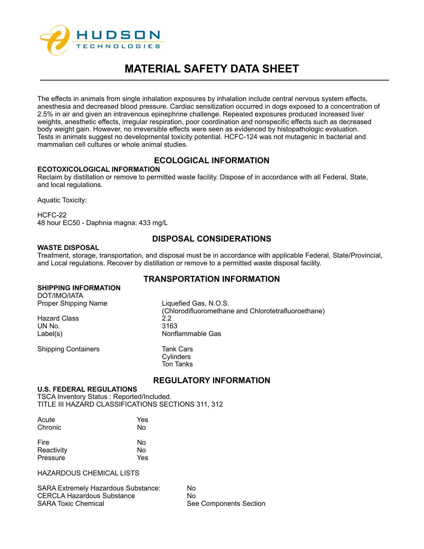

The effects in animals from single inhalation exposures by inhalation include central nervous system effects, anesthesia and decreased blood pressure. Cardiac sensitization occurred in dogs exposed to a concentration of 2.5% in air and given an intravenous epinephrine challenge. Repeated exposures produced increased liver weights, anesthetic effects, irregular respiration, poor coordination and nonspecific effects such as decreased body weight gain. However, no irreversible effects were seen as evidenced by histopathologic evaluation. Tests in animals suggest no developmental toxicity potential. HCFC-124 was not mutagenic in bacterial and mammalian cell cultures or whole animal studies.

# **ECOLOGICAL INFORMATION**

**ECOTOXICOLOGICAL INFORMATION**

Reclaim by distillation or remove to permitted waste facility. Dispose of in accordance with all Federal, State, and local regulations.

Aquatic Toxicity:

HCFC-22 48 hour EC50 - Daphnia magna: 433 mg/L

# **DISPOSAL CONSIDERATIONS**

## **WASTE DISPOSAL**

Treatment, storage, transportation, and disposal must be in accordance with applicable Federal, State/Provincial, and Local regulations. Recover by distillation or remove to a permitted waste disposal facility.

# **TRANSPORTATION INFORMATION**

### **SHIPPING INFORMATION**

DOT/IMO/IATA Proper Shipping Name Liquefied Gas, N.O.S.

Hazard Class 2.2 UN No. 3163

Shipping Containers Tank Cars

(Chlorodifluoromethane and Chlorotetrafluoroethane) Label(s) Nonflammable Gas

> **Cylinders** Ton Tanks

# **REGULATORY INFORMATION**

# **U.S. FEDERAL REGULATIONS**

TSCA Inventory Status : Reported/Included. TITLE III HAZARD CLASSIFICATIONS SECTIONS 311, 312

| Acute      | Yes |
|------------|-----|
| Chronic    | No  |
| Fire       | No  |
| Reactivity | No  |
| Pressure   | Yes |

HAZARDOUS CHEMICAL LISTS

SARA Extremely Hazardous Substance: No CERCLA Hazardous Substance **No CERCLA Hazardous Substance** No No<br>SARA Toxic Chemical

See Components Section